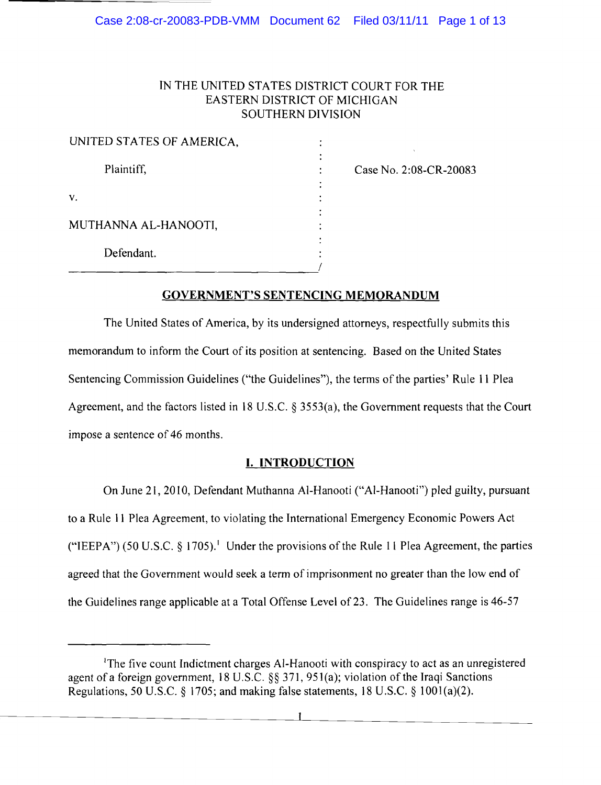## IN THE UNITED STATES DISTRICT COURT FOR THE EASTERN DISTRICT OF MICHIGAN SOUTHERN DIVISION

| UNITED STATES OF AMERICA, |  |
|---------------------------|--|
|                           |  |
| Plaintiff,                |  |
| V.                        |  |
| MUTHANNA AL-HANOOTI,      |  |
| Defendant.                |  |
|                           |  |

Case No. 2:08-CR-20083

## GOVERNMENT'S SENTENCING MEMORANDUM

The United States of America, by its undersigned attorneys, respectfully submits this memorandum to inform the Court of its position at sentencing. Based on the United States Sentencing Commission Guidelines ("the Guidelines"), the terms of the parties' Rule II Plea Agreement, and the factors listed in 18 U.S.C.  $\S$  3553(a), the Government requests that the Court impose a sentence of 46 months.

# **I. INTRODUCTION**

On June 21, 20 10, Defendant Muthanna AI-Hanooti ("AI-Hanooti") pled guilty, pursuant to a Rule II Plea Agreement, to violating the International Emergency Economic Powers Act ("IEEPA") (50 U.S.C.  $\S$  1705).<sup>1</sup> Under the provisions of the Rule 11 Plea Agreement, the parties agreed that the Government would seek a term of imprisonment no greater than the low end of the Guidelines range applicable at a Total Offense Level of 23. The Guidelines range is 46-57

<sup>&</sup>lt;sup>1</sup>The five count Indictment charges Al-Hanooti with conspiracy to act as an unregistered agent of a foreign government, 18 U.S.C.  $\S$ § 371, 951(a); violation of the Iraqi Sanctions Regulations, 50 U.S.C. § 1705; and making false statements, 18 U.S.C. § 1001(a)(2).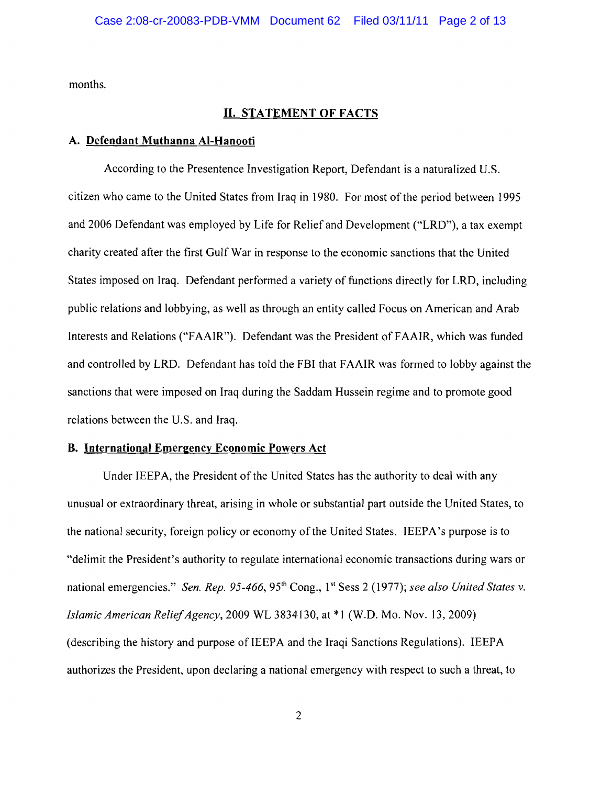months.

## **II. STATEMENT OF FACTS**

### **A. Defendant Muthanna AI-Hanooti**

According to the Presentence Investigation Report, Defendant is a naturalized U.S. citizen who came to the United States from Iraq in 1980. For most of the period between 1995 and 2006 Defendant was employed by Life for Relief and Development ("LRD"), a tax exempt charity created after the first Gulf War in response to the economic sanctions that the United States imposed on Iraq. Defendant performed a variety of functions directly for LRD, including public relations and lobbying, as well as through an entity called Focus on American and Arab Interests and Relations ("FAAIR"). Defendant was the President of FAAIR, which was funded and controlled by LRD. Defendant has told the FBI that FAAIR was formed to lobby against the sanctions that were imposed on Iraq during the Saddam Hussein regime and to promote good relations between the U.S. and Iraq.

### **B.** International Emergency Economic Powers Act

Under IEEPA, the President of the United States has the authority to deal with any unusual or extraordinary threat, arising in whole or substantial part outside the United States, to the national security, foreign policy or economy of the United States. IEEPA's purpose is to "delimit the President's authority to regulate international economic transactions during wars or national emergencies." *Sen. Rep.* 95-466, 95<sup>th</sup> Cong., 1<sup>st</sup> Sess 2 (1977); *see also United States v. Islamic American ReliefAgency,* 2009 WL 3834130, at \*I (W.O. Mo. Nov. 13,2009) (describing the history and purpose of IEEPA and the Iraqi Sanctions Regulations). IEEPA authorizes the President, upon declaring a national emergency with respect to such a threat, to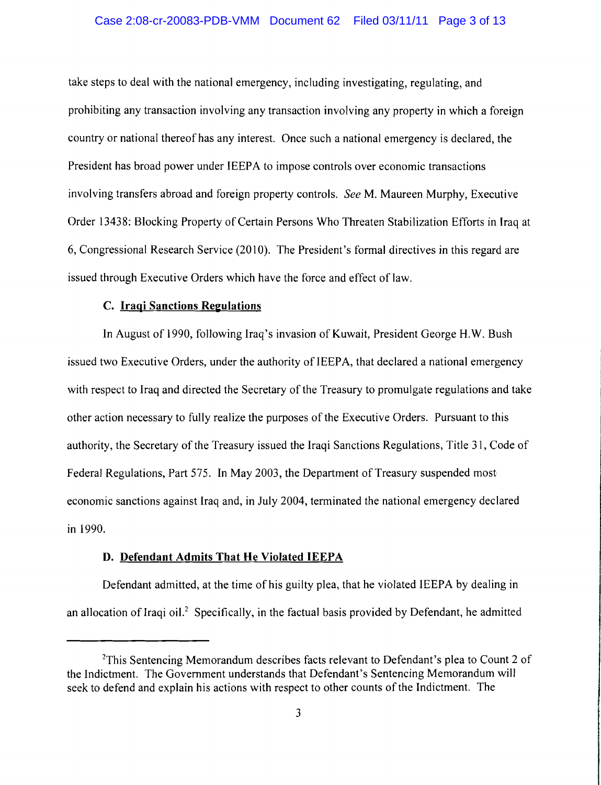### Case 2:08-cr-20083-PDB-VMM Document 62 Filed 03/11/11 Page 3 of 13

take steps to deal with the national emergency, including investigating, regulating, and prohibiting any transaction involving any transaction involving any property in which a foreign country or national thereof has any interest. Once such a national emergency is declared, the President has broad power under IEEPA to impose controls over economic transactions involving transfers abroad and foreign property controls. *See* M. Maureen Murphy, Executive Order 13438: Blocking Property of Certain Persons Who Threaten Stabilization Efforts in Iraq at 6, Congressional Research Service (2010). The President's formal directives in this regard are issued through Executive Orders which have the force and effect of law.

## C. **Iraqi Sanctions ReeuIations**

**In** August of 1990, following Iraq's invasion of Kuwait, President George H.W. Bush issued two Executive Orders, under the authority of IEEPA, that declared a national emergency with respect to Iraq and directed the Secretary of the Treasury to promulgate regulations and take other action necessary to fully realize the purposes of the Executive Orders. Pursuant to this authority, the Secretary of the Treasury issued the Iraqi Sanctions Regulations, Title 31, Code of Federal Regulations, Part 575. **In** May 2003, the Department of Treasury suspended most economic sanctions against Iraq and, in July 2004, terminated the national emergency declared in 1990.

### **D. Defendant Admits That He Violated IEEPA**

Defendant admitted, at the time of his guilty plea, that he violated IEEPA by dealing in an allocation of Iraqi oil.<sup>2</sup> Specifically, in the factual basis provided by Defendant, he admitted

 $2$ This Sentencing Memorandum describes facts relevant to Defendant's plea to Count 2 of the Indictment. The Government understands that Defendant's Sentencing Memorandum will seek to defend and explain his actions with respect to other counts of the Indictment. The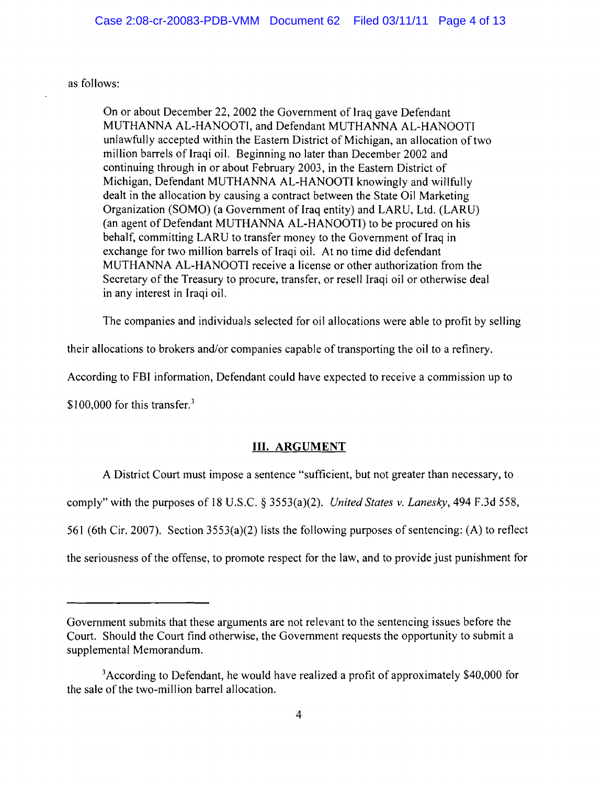as follows:

On or about December 22, 2002 the Government of Iraq gave Defendant MUTHANNA AL-HANOOTI, and Defendant MUTHANNA AL-HANOOTI unlawfully accepted within the Eastern District of Michigan, an allocation of two million barrels of Iraqi oil. Beginning no later than December 2002 and continuing through in or about February 2003, in the Eastern District of Michigan, Defendant MUTHANNA AL-HANOOTI knowingly and willfully dealt in the allocation by causing a contract between the State Oil Marketing Organization (SOMO) (a Government of Iraq entity) and LARU, Ltd. (LARU) (an agent of Defendant MUTHANNA AL-HANOOTI) to be procured on his behalf, committing LARU to transfer money to the Government of Iraq in exchange for two million barrels of Iraqi oil. At no time did defendant MUTHANNA AL-HANOOTI receive a license or other authorization from the Secretary of the Treasury to procure, transfer, or resell Iraqi oil or otherwise deal in any interest in Iraqi oil.

The companies and individuals selected for oil allocations were able to profit by selling

their allocations to brokers and/or companies capable of transporting the oil to a refinery.

According to FBI information, Defendant could have expected to receive a commission up to

\$100,000 for this transfer. $3$ 

## **III. ARGUMENT**

A District Court must impose a sentence "sufficient, but not greater than necessary, to

comply" with the purposes of 18 U.S.c. § 3553(a)(2). *United States* v. *Lanesky,* 494 F.3d 558,

561 (6th Cir. 2007). Section 3553(a)(2) lists the following purposes of sentencing: (A) to reflect

the seriousness of the offense, to promote respect for the law, and to provide just punishment for

Government submits that these arguments are not relevant to the sentencing issues before the Court. Should the Court find otherwise, the Government requests the opportunity to submit a supplemental Memorandum.

 $3$ According to Defendant, he would have realized a profit of approximately \$40,000 for the sale of the two-million barrel allocation.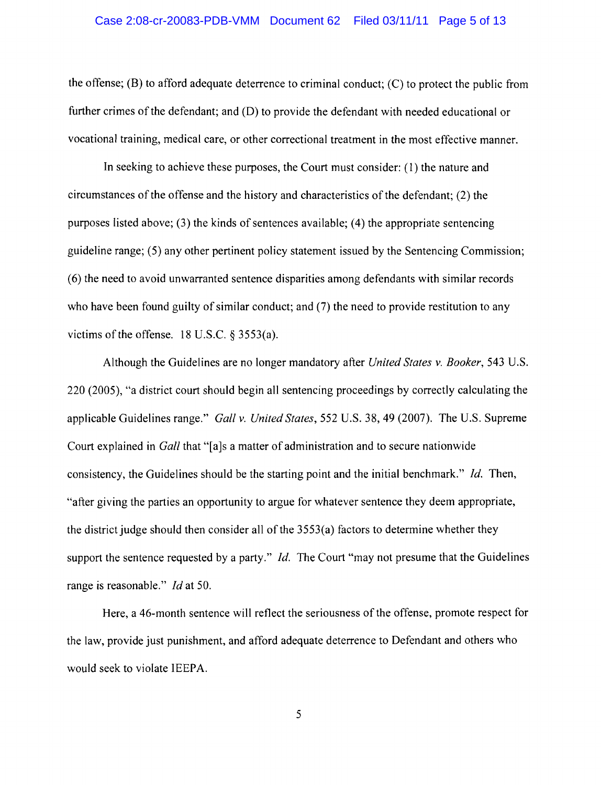### Case 2:08-cr-20083-PDB-VMM Document 62 Filed 03/11/11 Page 5 of 13

the offense; (B) to afford adequate deterrence to criminal conduct; (C) to protect the public from further crimes of the defendant; and  $(D)$  to provide the defendant with needed educational or vocational training, medical care, or other correctional treatment in the most effective manner.

In seeking to achieve these purposes, the Court must consider: (1) the nature and circumstances of the offense and the history and characteristics of the defendant;  $(2)$  the purposes listed above; (3) the kinds of sentences available; (4) the appropriate sentencing guideline range; (5) any other pertinent policy statement issued by the Sentencing Commission; (6) the need to avoid unwarranted sentence disparities among defendants with similar records who have been found guilty of similar conduct; and (7) the need to provide restitution to any victims of the offense.  $18$  U.S.C.  $\S$  3553(a).

Although the Guidelines are no longer mandatory after *United States v. Booker,* 543 U.S. 220 (2005), "a district court should begin all sentencing proceedings by correctly calculating the applicable Guidelines range." *Gall v. United States,* 552 U.S. 38, 49 (2007). The U.S. Supreme Court explained in *Gall* that "[a]s a matter of administration and to secure nationwide consistency, the Guidelines should be the starting point and the initial benchmark." *!d.* Then, "after giving the parties an opportunity to argue for whatever sentence they deem appropriate, the district judge should then consider all of the  $3553(a)$  factors to determine whether they support the sentence requested by a party." *Id.* The Court "may not presume that the Guidelines range is reasonable." *!d* at 50.

Here, a 46-month sentence will reflect the seriousness of the offense, promote respect for the law, provide just punishment, and afford adequate deterrence to Defendant and others who would seek to violate IEEPA.

5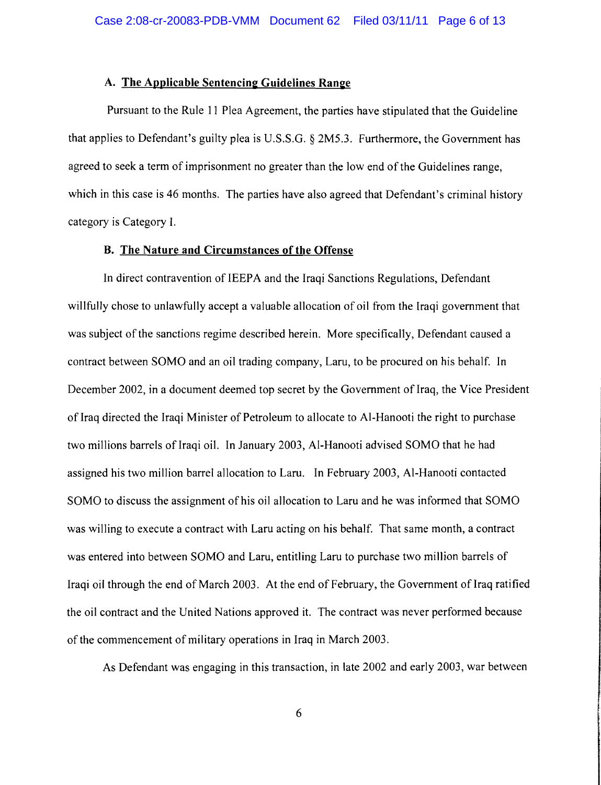### A. The Applicable Sentencing Guidelines Range

Pursuant to the Rule 11 Plea Agreement, the parties have stipulated that the Guideline that applies to Defendant's guilty plea is U.S.S.G. § 2M5.3. Furthermore, the Government has agreed to seek a term of imprisonment no greater than the low end of the Guidelines range, which in this case is 46 months. The parties have also agreed that Defendant's criminal history category is Category 1.

### B. The Nature and Circumstances of the Offense

In direct contravention of IEEPA and the Iraqi Sanctions Regulations, Defendant willfully chose to unlawfully accept a valuable allocation of oil from the Iraqi government that was subject of the sanctions regime described herein. More specifically, Defendant caused a contract between SOMO and an oil trading company, Laru, to be procured on his behalf. In December 2002, in a document deemed top secret by the Government of Iraq, the Vice President of Iraq directed the Iraqi Minister of Petroleum to allocate to Al-Hanooti the right to purchase two millions barrels of Iraqi oil. In January 2003, Al-Hanooti advised SOMO that he had assigned his two million barrel allocation to Laru. In February 2003, AI-Hanooti contacted SOMO to discuss the assignment of his oil allocation to Laru and he was informed that SOMO was willing to execute a contract with Laru acting on his behalf. That same month, a contract was entered into between SOMO and Laru, entitling Laru to purchase two million barrels of Iraqi oil through the end of March 2003. At the end of February, the Government of Iraq ratified the oil contract and the United Nations approved it. The contract was never performed because of the commencement of military operations in Iraq in March 2003.

As Defendant was engaging in this transaction, in late 2002 and early 2003, war between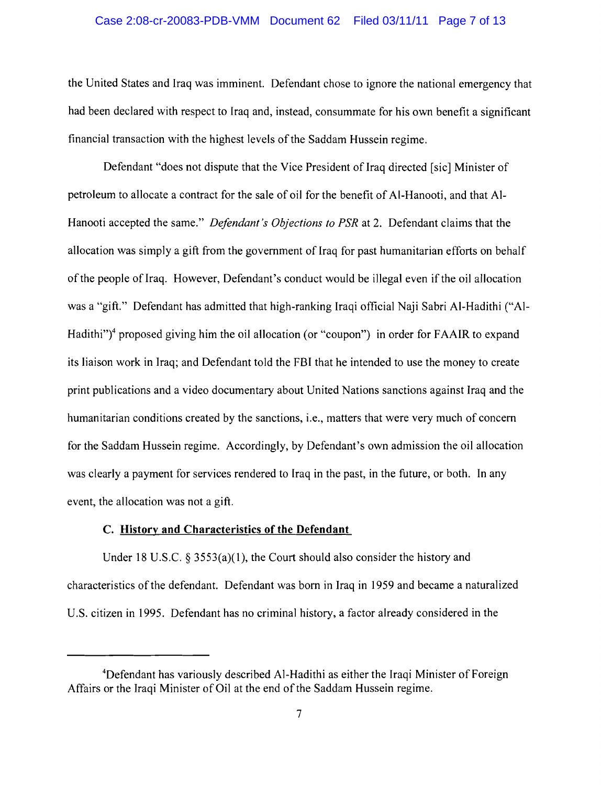### Case 2:08-cr-20083-PDB-VMM Document 62 Filed 03/11/11 Page 7 of 13

the United States and Iraq was imminent. Defendant chose to ignore the national emergency that had been declared with respect to Iraq and, instead, consummate for his own benefit a significant financial transaction with the highest levels ofthe Saddam Hussein regime.

Defendant "does not dispute that the Vice President of Iraq directed [sic] Minister of petroleum to allocate a contract for the sale of oil for the benefit of AI-Hanooti, and that Al-Hanooti accepted the same." *Defendant's Objections to PSR* at 2. Defendant claims that the allocation was simply a gift from the government of Iraq for past humanitarian efforts on behalf of the people of Iraq. However, Defendant's conduct would be illegal even if the oil allocation was a "gift." Defendant has admitted that high-ranking Iraqi official Naji Sabri Al-Hadithi ("Al-Hadithi" $\gamma$ <sup>4</sup> proposed giving him the oil allocation (or "coupon") in order for FAAIR to expand its liaison work in Iraq; and Defendant told the FBI that he intended to use the money to create print publications and a video documentary about United Nations sanctions against Iraq and the humanitarian conditions created by the sanctions, i.e., matters that were very much of concern for the Saddam Hussein regime. Accordingly, by Defendant's own admission the oil allocation was clearly a payment for services rendered to Iraq in the past, in the future, or both. In any event, the allocation was not a gift.

## C. **History and Characteristics of the Defendant**

Under 18 U.S.C.  $\frac{2553(a)}{1}$ , the Court should also consider the history and characteristics ofthe defendant. Defendant was born in Iraq in 1959 and became a naturalized U.S. citizen in 1995. Defendant has no criminal history, a factor already considered in the

<sup>4</sup>Defendant has variously described Al-Hadithi as either the Iraqi Minister of Foreign Affairs or the Iraqi Minister of Oil at the end of the Saddam Hussein regime.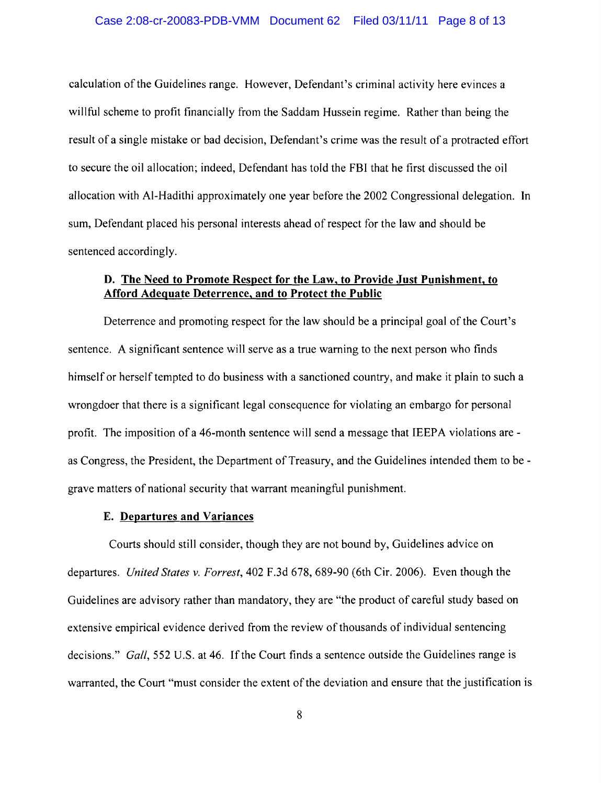calculation of the Guidelines range. However, Defendant's criminal activity here evinces a willful scheme to profit financially from the Saddam Hussein regime. Rather than being the result of a single mistake or bad decision, Defendant's crime was the result of a protracted effort to secure the oil al1ocation; indeed, Defendant has told the FBI that he first discussed the oil allocation with AI-Hadithi approximately one year before the 2002 Congressional delegation. In sum, Defendant placed his personal interests ahead of respect for the law and should be sentenced accordingly.

## **D. The Need to Promote Respect for the Law, to Provide Just Punishment, to Afford Adequate Deterrence, and to Protect the Public**

Deterrence and promoting respect for the law should be a principal goal of the Court's sentence. A significant sentence will serve as a true warning to the next person who finds himself or herself tempted to do business with a sanctioned country, and make it plain to such a wrongdoer that there is a significant legal consequence for violating an embargo for personal profit. The imposition of a 46-month sentence will send a message that IEEPA violations are as Congress, the President, the Department of Treasury, and the Guidelines intended them to be grave matters of national security that warrant meaningful punishment.

#### **E. Departures and Variances**

Courts should still consider, though they are not bound by, Guidelines advice on departures. *United States v. Forrest,* 402 F.3d 678, 689-90 (6th Cir. 2006). Even though the Guidelines are advisory rather than mandatory, they are "the product of careful study based on extensive empirical evidence derived from the review of thousands of individual sentencing decisions." *Gall,* 552 U.S. at 46. If the Court finds a sentence outside the Guidelines range is warranted, the Court "must consider the extent of the deviation and ensure that the justification is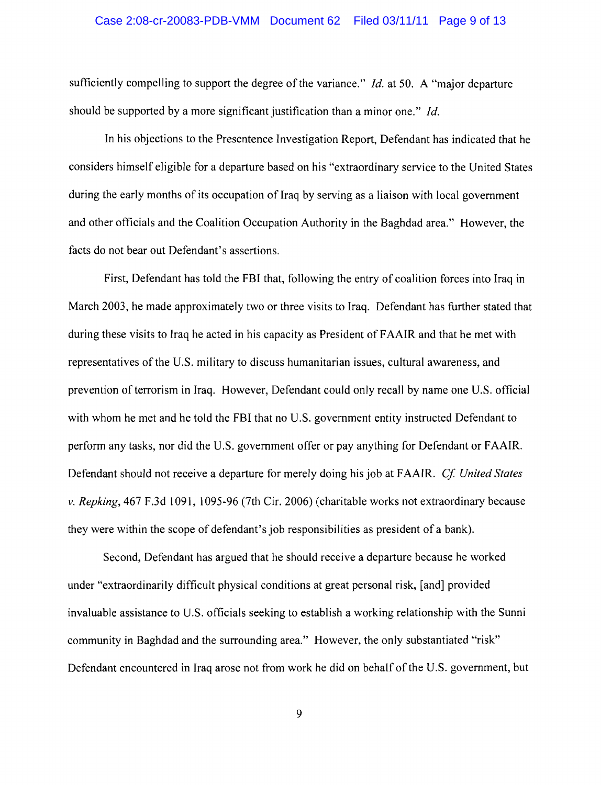#### Case 2:08-cr-20083-PDB-VMM Document 62 Filed 03/11/11 Page 9 of 13

sufficiently compelling to support the degree of the variance." *Id.* at 50. A "major departure should be supported by a more significant justification than a minor one." *Id.* 

In his objections to the Presentence Investigation Report, Defendant has indicated that he considers himself eligible for a departure based on his "extraordinary service to the United States during the early months of its occupation of Iraq by serving as a liaison with local government and other officials and the Coalition Occupation Authority in the Baghdad area." However, the facts do not bear out Defendant's assertions.

First, Defendant has told the FBI that, following the entry of coalition forces into Iraq in March 2003, he made approximately two or three visits to Iraq. Defendant has further stated that during these visits to Iraq he acted in his capacity as President of FAAIR and that he met with representatives of the U.S. military to discuss humanitarian issues, cultural awareness, and prevention of terrorism in Iraq. However, Defendant could only recall by name one U.S. official with whom he met and he told the FBI that no U.S. government entity instructed Defendant to perform any tasks, nor did the U.S. government offer or pay anything for Defendant or FAAIR. Defendant should not receive a departure for merely doing his job at FAAIR. *Cf United States*  v. *Repking,* 467 F.3d 1091, 1095-96 (7th Cir. 2006) (charitable works not extraordinary because they were within the scope of defendant's job responsibilities as president of a bank).

Second, Defendant has argued that he should receive a departure because he worked under "extraordinarily difficult physical conditions at great personal risk, [and] provided invaluable assistance to U.S. officials seeking to establish a working relationship with the Sunni community in Baghdad and the surrounding area." However, the only substantiated "risk" Defendant encountered in Iraq arose not from work he did on behalf of the U.S. government, but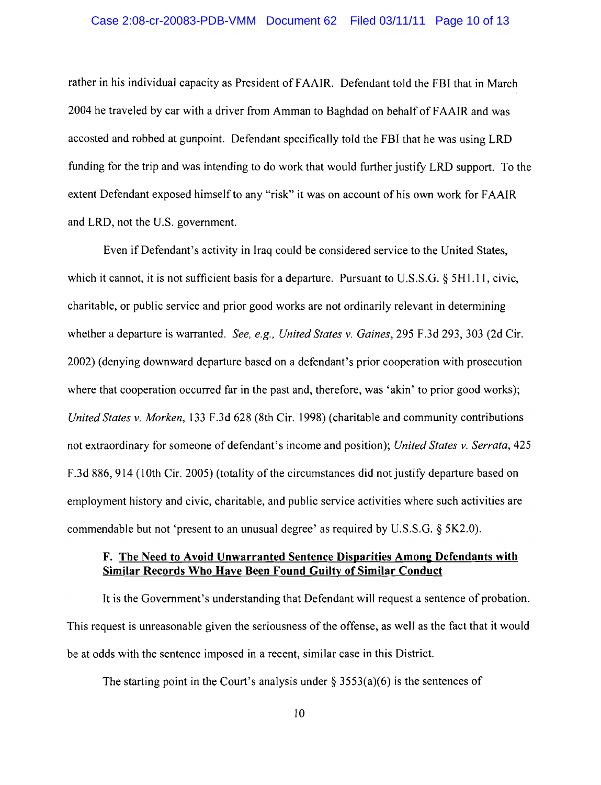rather in his individual capacity as President of FAAIR. Defendant told the FBI that in March 2004 he traveled by car with a driver from Amman to Baghdad on behalf of FAAIR and was accosted and robbed at gunpoint. Defendant specifically told the FBI that he was using LRD funding for the trip and was intending to do work that would further justify LRD support. To the extent Defendant exposed himself to any "risk" it was on account of his own work for FAAIR and LRD, not the U.S. government.

Even if Defendant's activity in Iraq could be considered service to the United States, which it cannot, it is not sufficient basis for a departure. Pursuant to U.S.S.G. § 5H1.11, civic, charitable, or public service and prior good works are not ordinarily relevant in determining whether a departure is warranted. *See, e.g., United States* v. *Gaines,* 295 F.3d 293, 303 (2d Cir. 2002) (denying downward departure based on a defendant's prior cooperation with prosecution where that cooperation occurred far in the past and, therefore, was 'akin' to prior good works); *United States* v. *Morken,* 133 F.3d 628 (8th Cir. 1998) (charitable and community contributions not extraordinary for someone of defendant's income and position); *United States* v. *Serrata, 425*  F.3d 886, 914 (lOth Cir. 2005) (totality of the circumstances did not justify departure based on employment history and civic, charitable, and public service activities where such activities are commendable but not 'present to an unusual degree' as required by U.S.S.G. § 5K2.0).

## F. The Need to Avoid Unwarranted Sentence Disparities Among Defendants with Similar Records Who Have Been Found Guilty of Similar Conduct

It is the Government's understanding that Defendant will request a sentence of probation. This request is unreasonable given the seriousness of the offense, as well as the fact that it would be at odds with the sentence imposed in a recent, similar case in this District.

The starting point in the Court's analysis under  $\S$  3553(a)(6) is the sentences of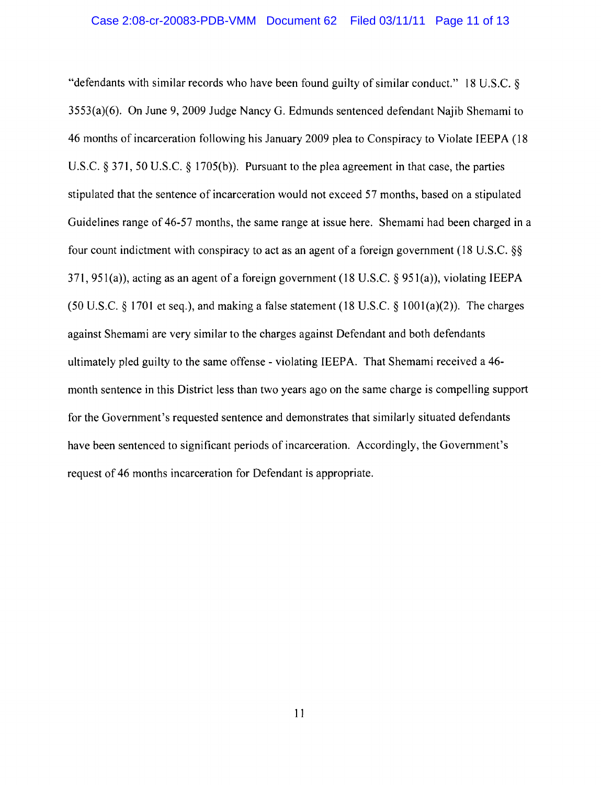"defendants with similar records who have been found guilty of similar conduct." 18 U.S.C. § 3553(a)(6). On June 9, 2009 Judge Nancy G. Edmunds sentenced defendant Najib Shemami to 46 months of incarceration following his January 2009 plea to Conspiracy to Violate IEEPA (18 U.S.C. § 371, 50 U.S.C. § 1705(b)). Pursuant to the plea agreement in that case, the parties stipulated that the sentence of incarceration would not exceed 57 months, based on a stipulated Guidelines range of 46-57 months, the same range at issue here. Shemami had been charged in a four count indictment with conspiracy to act as an agent of a foreign government (18 U.S.C. §§ 371, 951(a)), acting as an agent of a foreign government (18 U.S.c. § 951 (a)), violating IEEPA (50 U.S.C.  $\S$  1701 et seq.), and making a false statement (18 U.S.C.  $\S$  1001(a)(2)). The charges against Shemami are very similar to the charges against Defendant and both defendants ultimately pled guilty to the same offense - violating IEEPA. That Shemami received a 46 month sentence in this District less than two years ago on the same charge is compelling support for the Government's requested sentence and demonstrates that similarly situated defendants have been sentenced to significant periods of incarceration. Accordingly, the Government's request of 46 months incarceration for Defendant is appropriate.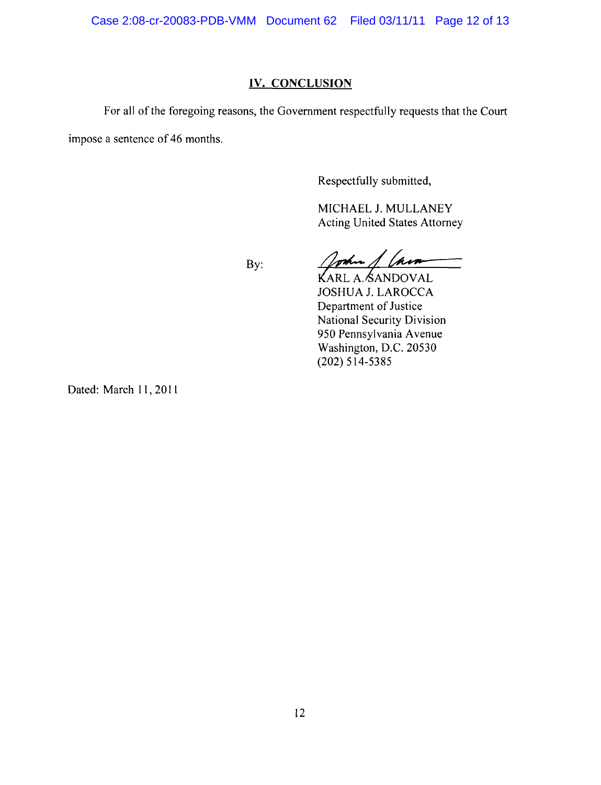Case 2:08-cr-20083-PDB-VMM Document 62 Filed 03/11/11 Page 12 of 13

## **IV. CONCLUSION**

For all of the foregoing reasons, the Government respectfully requests that the Court impose a sentence of 46 months.

By:

Respectfully submitted,

MICHAEL 1. MULLANEY Acting United States Attorney

oshu hin

KARL A. SANDOVAL JOSHUA 1. LAROCCA Department of Justice National Security Division 950 Pennsylvania Avenue Washington, D.C. 20530 (202) 514-5385

Dated: March 11, 2011